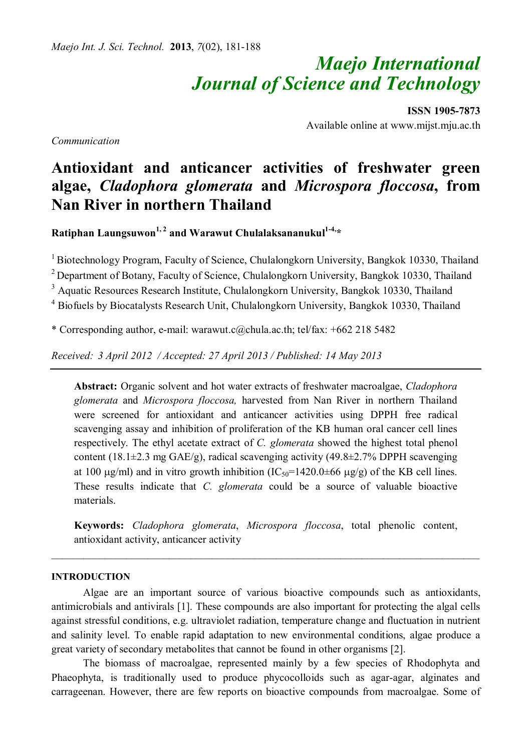# *Maejo International Journal of Science and Technology*

**ISSN 1905-7873** Available online at www.mijst.mju.ac.th

*Communication*

## **Antioxidant and anticancer activities of freshwater green algae,** *Cladophora glomerata* **and** *Microspora floccosa***, from Nan River in northern Thailand**

**Ratiphan Laungsuwon1, 2 and Warawut Chulalaksananukul1-4,\*** 

 $1$ Biotechnology Program, Faculty of Science, Chulalongkorn University, Bangkok 10330, Thailand

<sup>2</sup> Department of Botany, Faculty of Science, Chulalongkorn University, Bangkok 10330, Thailand

<sup>3</sup> Aquatic Resources Research Institute, Chulalongkorn University, Bangkok 10330, Thailand

<sup>4</sup> Biofuels by Biocatalysts Research Unit, Chulalongkorn University, Bangkok 10330, Thailand

\* Corresponding author, e-mail: warawut.c@chula.ac.th; tel/fax: +662 218 5482

*Received: 3 April 2012 / Accepted: 27 April 2013 / Published: 14 May 2013*

**Abstract:** Organic solvent and hot water extracts of freshwater macroalgae, *Cladophora glomerata* and *Microspora floccosa,* harvested from Nan River in northern Thailand were screened for antioxidant and anticancer activities using DPPH free radical scavenging assay and inhibition of proliferation of the KB human oral cancer cell lines respectively. The ethyl acetate extract of *C. glomerata* showed the highest total phenol content (18.1 $\pm$ 2.3 mg GAE/g), radical scavenging activity (49.8 $\pm$ 2.7% DPPH scavenging at 100  $\mu$ g/ml) and in vitro growth inhibition (IC<sub>50</sub>=1420.0±66  $\mu$ g/g) of the KB cell lines. These results indicate that *C. glomerata* could be a source of valuable bioactive materials.

**Keywords:** *Cladophora glomerata*, *Microspora floccosa*, total phenolic content, antioxidant activity, anticancer activity

\_\_\_\_\_\_\_\_\_\_\_\_\_\_\_\_\_\_\_\_\_\_\_\_\_\_\_\_\_\_\_\_\_\_\_\_\_\_\_\_\_\_\_\_\_\_\_\_\_\_\_\_\_\_\_\_\_\_\_\_\_\_\_\_\_\_\_\_\_\_\_\_\_\_\_\_\_\_\_\_

#### **INTRODUCTION**

Algae are an important source of various bioactive compounds such as antioxidants, antimicrobials and antivirals [1]. These compounds are also important for protecting the algal cells against stressful conditions, e.g. ultraviolet radiation, temperature change and fluctuation in nutrient and salinity level. To enable rapid adaptation to new environmental conditions, algae produce a great variety of secondary metabolites that cannot be found in other organisms [2].

The biomass of macroalgae, represented mainly by a few species of Rhodophyta and Phaeophyta, is traditionally used to produce phycocolloids such as agar-agar, alginates and carrageenan. However, there are few reports on bioactive compounds from macroalgae. Some of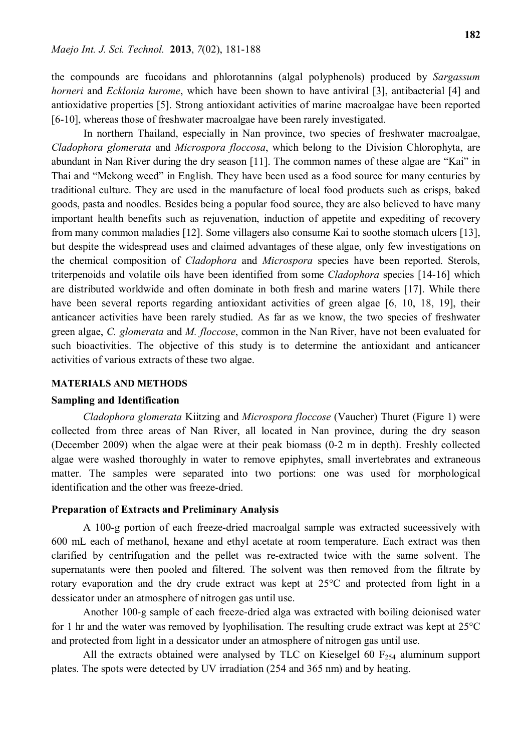the compounds are fucoidans and phlorotannins (algal polyphenols) produced by *Sargassum horneri* and *Ecklonia kurome*, which have been shown to have antiviral [3], antibacterial [4] and antioxidative properties [5]. Strong antioxidant activities of marine macroalgae have been reported [6-10], whereas those of freshwater macroalgae have been rarely investigated.

In northern Thailand, especially in Nan province, two species of freshwater macroalgae, *Cladophora glomerata* and *Microspora floccosa*, which belong to the Division Chlorophyta, are abundant in Nan River during the dry season [11]. The common names of these algae are "Kai" in Thai and "Mekong weed" in English. They have been used as a food source for many centuries by traditional culture. They are used in the manufacture of local food products such as crisps, baked goods, pasta and noodles. Besides being a popular food source, they are also believed to have many important health benefits such as rejuvenation, induction of appetite and expediting of recovery from many common maladies [12]. Some villagers also consume Kai to soothe stomach ulcers [13], but despite the widespread uses and claimed advantages of these algae, only few investigations on the chemical composition of *Cladophora* and *Microspora* species have been reported. Sterols, triterpenoids and volatile oils have been identified from some *Cladophora* species [14-16] which are distributed worldwide and often dominate in both fresh and marine waters [17]. While there have been several reports regarding antioxidant activities of green algae [6, 10, 18, 19], their anticancer activities have been rarely studied. As far as we know, the two species of freshwater green algae, *C. glomerata* and *M. floccose*, common in the Nan River, have not been evaluated for such bioactivities. The objective of this study is to determine the antioxidant and anticancer activities of various extracts of these two algae.

#### **MATERIALS AND METHODS**

#### **Sampling and Identification**

*Cladophora glomerata* Kiitzing and *Microspora floccose* (Vaucher) Thuret (Figure 1) were collected from three areas of Nan River, all located in Nan province, during the dry season (December 2009) when the algae were at their peak biomass (0-2 m in depth). Freshly collected algae were washed thoroughly in water to remove epiphytes, small invertebrates and extraneous matter. The samples were separated into two portions: one was used for morphological identification and the other was freeze-dried.

#### **Preparation of Extracts and Preliminary Analysis**

A 100-g portion of each freeze-dried macroalgal sample was extracted suceessively with 600 mL each of methanol, hexane and ethyl acetate at room temperature. Each extract was then clarified by centrifugation and the pellet was re-extracted twice with the same solvent. The supernatants were then pooled and filtered. The solvent was then removed from the filtrate by rotary evaporation and the dry crude extract was kept at 25°C and protected from light in a dessicator under an atmosphere of nitrogen gas until use.

Another 100-g sample of each freeze-dried alga was extracted with boiling deionised water for 1 hr and the water was removed by lyophilisation. The resulting crude extract was kept at 25°C and protected from light in a dessicator under an atmosphere of nitrogen gas until use.

All the extracts obtained were analysed by TLC on Kieselgel 60  $F<sub>254</sub>$  aluminum support plates. The spots were detected by UV irradiation (254 and 365 nm) and by heating.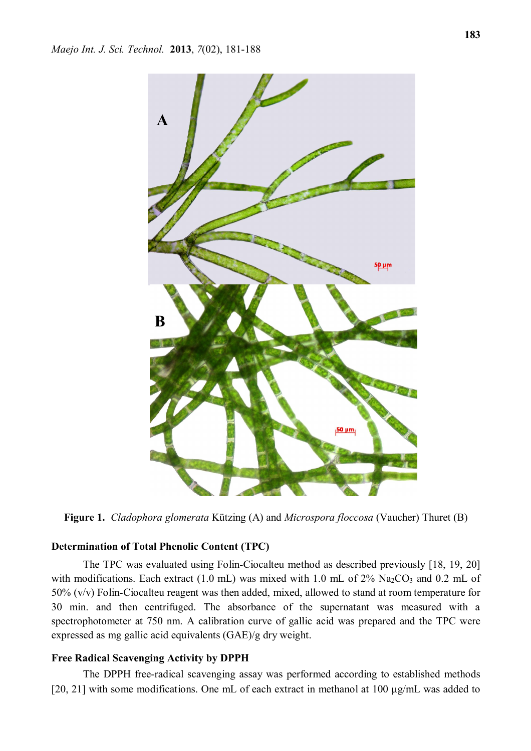

**Figure 1.** *Cladophora glomerata* Kützing (A) and *Microspora floccosa* (Vaucher) Thuret (B)

### **Determination of Total Phenolic Content (TPC)**

The TPC was evaluated using Folin-Ciocalteu method as described previously [18, 19, 20] with modifications. Each extract  $(1.0 \text{ mL})$  was mixed with 1.0 mL of 2% Na<sub>2</sub>CO<sub>3</sub> and 0.2 mL of 50% (v/v) Folin-Ciocalteu reagent was then added, mixed, allowed to stand at room temperature for 30 min. and then centrifuged. The absorbance of the supernatant was measured with a spectrophotometer at 750 nm. A calibration curve of gallic acid was prepared and the TPC were expressed as mg gallic acid equivalents (GAE)/g dry weight.

#### **Free Radical Scavenging Activity by DPPH**

The DPPH free-radical scavenging assay was performed according to established methods [20, 21] with some modifications. One mL of each extract in methanol at  $100 \mu g/mL$  was added to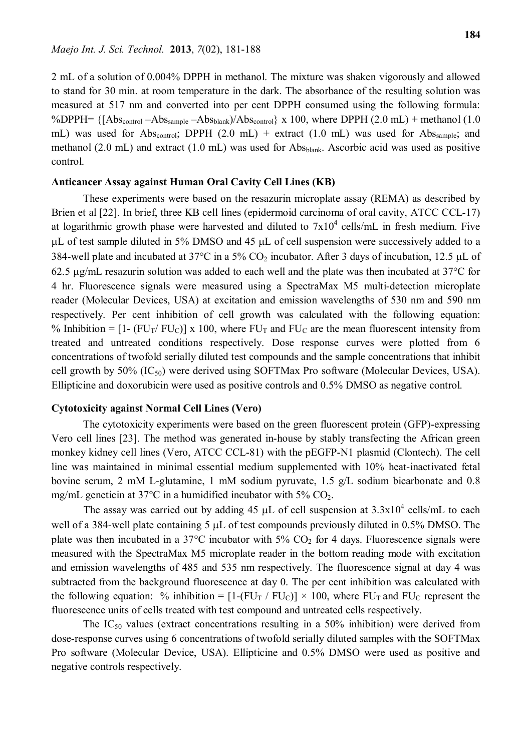2 mL of a solution of 0.004% DPPH in methanol. The mixture was shaken vigorously and allowed to stand for 30 min. at room temperature in the dark. The absorbance of the resulting solution was measured at 517 nm and converted into per cent DPPH consumed using the following formula: %DPPH=  $\{[Abs_{control} - Abs_{sample} - Abs_{blank})/Abs_{control}\}$  x 100, where DPPH (2.0 mL) + methanol (1.0 mL) was used for Abs<sub>control</sub>; DPPH  $(2.0 \text{ mL})$  + extract  $(1.0 \text{ mL})$  was used for Abs<sub>sample</sub>; and methanol (2.0 mL) and extract (1.0 mL) was used for Abs $_{\text{blank}}$ . Ascorbic acid was used as positive control.

#### **Anticancer Assay against Human Oral Cavity Cell Lines (KB)**

These experiments were based on the resazurin microplate assay (REMA) as described by Brien et al [22]. In brief, three KB cell lines (epidermoid carcinoma of oral cavity, ATCC CCL-17) at logarithmic growth phase were harvested and diluted to  $7x10^4$  cells/mL in fresh medium. Five  $\mu$ L of test sample diluted in 5% DMSO and 45  $\mu$ L of cell suspension were successively added to a 384-well plate and incubated at 37 $^{\circ}$ C in a 5% CO<sub>2</sub> incubator. After 3 days of incubation, 12.5 µL of 62.5  $\mu$ g/mL resazurin solution was added to each well and the plate was then incubated at 37 $\degree$ C for 4 hr. Fluorescence signals were measured using a SpectraMax M5 multi-detection microplate reader (Molecular Devices, USA) at excitation and emission wavelengths of 530 nm and 590 nm respectively. Per cent inhibition of cell growth was calculated with the following equation: % Inhibition =  $[1 - (FU_T / FU_C)]$  x 100, where  $FU_T$  and  $FU_C$  are the mean fluorescent intensity from treated and untreated conditions respectively. Dose response curves were plotted from 6 concentrations of twofold serially diluted test compounds and the sample concentrations that inhibit cell growth by 50%  $(IC_{50})$  were derived using SOFTMax Pro software (Molecular Devices, USA). Ellipticine and doxorubicin were used as positive controls and 0.5% DMSO as negative control.

#### **Cytotoxicity against Normal Cell Lines (Vero)**

The cytotoxicity experiments were based on the green fluorescent protein (GFP)-expressing Vero cell lines [23]. The method was generated in-house by stably transfecting the African green monkey kidney cell lines (Vero, ATCC CCL-81) with the pEGFP-N1 plasmid (Clontech). The cell line was maintained in minimal essential medium supplemented with 10% heat-inactivated fetal bovine serum, 2 mM L-glutamine, 1 mM sodium pyruvate, 1.5 g/L sodium bicarbonate and 0.8 mg/mL geneticin at 37 $\rm ^{o}C$  in a humidified incubator with 5%  $\rm CO_{2}$ .

The assay was carried out by adding 45  $\mu$ L of cell suspension at 3.3x10<sup>4</sup> cells/mL to each well of a 384-well plate containing 5  $\mu$ L of test compounds previously diluted in 0.5% DMSO. The plate was then incubated in a 37 $\degree$ C incubator with 5% CO<sub>2</sub> for 4 days. Fluorescence signals were measured with the SpectraMax M5 microplate reader in the bottom reading mode with excitation and emission wavelengths of 485 and 535 nm respectively. The fluorescence signal at day 4 was subtracted from the background fluorescence at day 0. The per cent inhibition was calculated with the following equation: % inhibition =  $[1-(FU_T / FU_C)] \times 100$ , where  $FU_T$  and  $FU_C$  represent the fluorescence units of cells treated with test compound and untreated cells respectively.

The  $IC_{50}$  values (extract concentrations resulting in a 50% inhibition) were derived from dose-response curves using 6 concentrations of twofold serially diluted samples with the SOFTMax Pro software (Molecular Device, USA). Ellipticine and 0.5% DMSO were used as positive and negative controls respectively.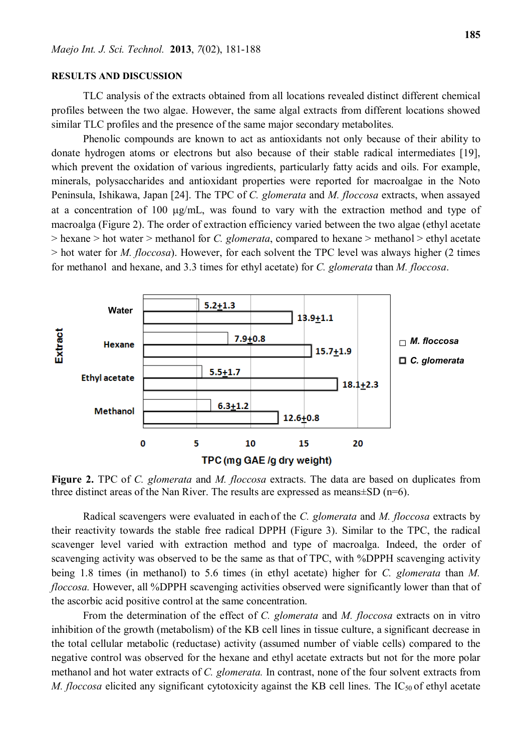#### **RESULTS AND DISCUSSION**

TLC analysis of the extracts obtained from all locations revealed distinct different chemical profiles between the two algae. However, the same algal extracts from different locations showed similar TLC profiles and the presence of the same major secondary metabolites.

Phenolic compounds are known to act as antioxidants not only because of their ability to donate hydrogen atoms or electrons but also because of their stable radical intermediates [19], which prevent the oxidation of various ingredients, particularly fatty acids and oils. For example, minerals, polysaccharides and antioxidant properties were reported for macroalgae in the Noto Peninsula, Ishikawa, Japan [24]. The TPC of *C. glomerata* and *M. floccosa* extracts, when assayed at a concentration of 100  $\mu$ g/mL, was found to vary with the extraction method and type of macroalga (Figure 2). The order of extraction efficiency varied between the two algae (ethyl acetate > hexane > hot water > methanol for *C. glomerata*, compared to hexane > methanol > ethyl acetate > hot water for *M. floccosa*). However, for each solvent the TPC level was always higher (2 times for methanol and hexane, and 3.3 times for ethyl acetate) for *C. glomerata* than *M. floccosa*.



**Figure 2.** TPC of *C. glomerata* and *M. floccosa* extracts. The data are based on duplicates from three distinct areas of the Nan River. The results are expressed as means±SD (n=6).

Radical scavengers were evaluated in each of the *C. glomerata* and *M. floccosa* extracts by their reactivity towards the stable free radical DPPH (Figure 3). Similar to the TPC, the radical scavenger level varied with extraction method and type of macroalga. Indeed, the order of scavenging activity was observed to be the same as that of TPC, with %DPPH scavenging activity being 1.8 times (in methanol) to 5.6 times (in ethyl acetate) higher for *C. glomerata* than *M. floccosa.* However, all %DPPH scavenging activities observed were significantly lower than that of the ascorbic acid positive control at the same concentration.

From the determination of the effect of *C. glomerata* and *M. floccosa* extracts on in vitro inhibition of the growth (metabolism) of the KB cell lines in tissue culture, a significant decrease in the total cellular metabolic (reductase) activity (assumed number of viable cells) compared to the negative control was observed for the hexane and ethyl acetate extracts but not for the more polar methanol and hot water extracts of *C. glomerata.* In contrast, none of the four solvent extracts from *M. floccosa* elicited any significant cytotoxicity against the KB cell lines. The IC<sub>50</sub> of ethyl acetate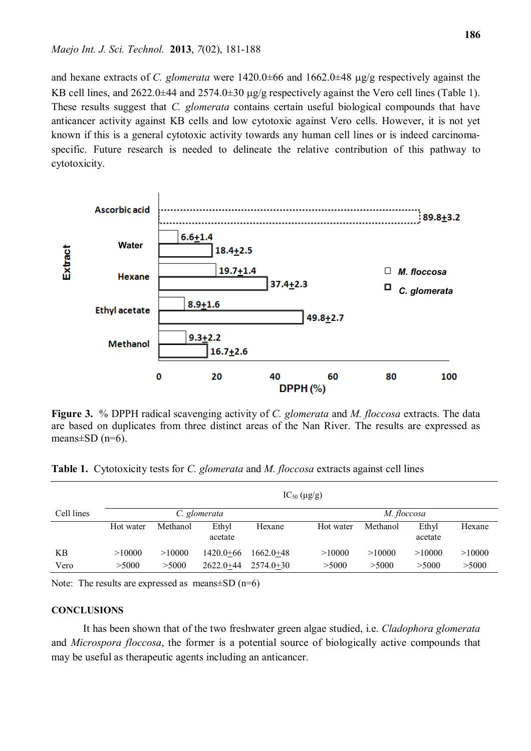and hexane extracts of *C. glomerata* were  $1420.0\pm 66$  and  $1662.0\pm 48$   $\mu$ g/g respectively against the KB cell lines, and  $2622.0\pm44$  and  $2574.0\pm30$  ug/g respectively against the Vero cell lines (Table 1). These results suggest that *C. glomerata* contains certain useful biological compounds that have anticancer activity against KB cells and low cytotoxic against Vero cells. However, it is not yet known if this is a general cytotoxic activity towards any human cell lines or is indeed carcinomaspecific. Future research is needed to delineate the relative contribution of this pathway to cytotoxicity.



**Figure 3.** % DPPH radical scavenging activity of *C. glomerata* and *M. floccosa* extracts. The data are based on duplicates from three distinct areas of the Nan River. The results are expressed as means $\pm$ SD (n=6).

|  |  |  |  | Table 1. Cytotoxicity tests for <i>C. glomerata</i> and <i>M. floccosa</i> extracts against cell lines |
|--|--|--|--|--------------------------------------------------------------------------------------------------------|
|--|--|--|--|--------------------------------------------------------------------------------------------------------|

|            | $IC_{50} (\mu g/g)$ |          |                  |               |           |             |                  |        |  |  |  |
|------------|---------------------|----------|------------------|---------------|-----------|-------------|------------------|--------|--|--|--|
| Cell lines | C. glomerata        |          |                  |               |           | M. floccosa |                  |        |  |  |  |
|            | Hot water           | Methanol | Ethyl<br>acetate | Hexane        | Hot water | Methanol    | Ethyl<br>acetate | Hexane |  |  |  |
| KB         | >10000              | >10000   | $1420.0 + 66$    | $1662.0 + 48$ | >10000    | >10000      | >10000           | >10000 |  |  |  |
| Vero       | >5000               | >5000    | $2622.0 + 44$    | $2574.0+30$   | > 5000    | >5000       | >5000            | >5000  |  |  |  |

Note: The results are expressed as means $\pm$ SD (n=6)

#### **CONCLUSIONS**

It has been shown that of the two freshwater green algae studied, i.e. *Cladophora glomerata*  and *Microspora floccosa*, the former is a potential source of biologically active compounds that may be useful as therapeutic agents including an anticancer.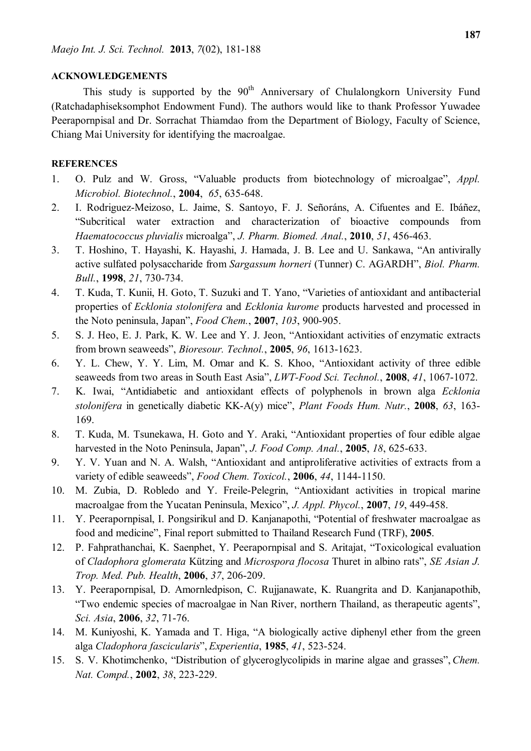#### **ACKNOWLEDGEMENTS**

This study is supported by the 90<sup>th</sup> Anniversary of Chulalongkorn University Fund (Ratchadaphiseksomphot Endowment Fund). The authors would like to thank Professor Yuwadee Peerapornpisal and Dr. Sorrachat Thiamdao from the Department of Biology, Faculty of Science, Chiang Mai University for identifying the macroalgae.

#### **REFERENCES**

- 1. O. Pulz and W. Gross, "Valuable products from biotechnology of microalgae", *Appl. Microbiol. Biotechnol.*, **2004**, *65*, 635-648.
- 2. I. Rodriguez-Meizoso, L. Jaime, S. Santoyo, F. J. Señoráns, A. Cifuentes and E. Ibáñez, "Subcritical water extraction and characterization of bioactive compounds from *Haematococcus pluvialis* microalga", *J. Pharm. Biomed. Anal.*, **2010**, *51*, 456-463.
- 3. T. Hoshino, T. Hayashi, K. Hayashi, J. Hamada, J. B. Lee and U. Sankawa, "An antivirally active sulfated polysaccharide from *Sargassum horneri* (Tunner) C. AGARDH", *Biol. Pharm. Bull.*, **1998**, *21*, 730-734.
- 4. T. Kuda, T. Kunii, H. Goto, T. Suzuki and T. Yano, "Varieties of antioxidant and antibacterial properties of *Ecklonia stolonifera* and *Ecklonia kurome* products harvested and processed in the Noto peninsula, Japan", *Food Chem.*, **2007**, *103*, 900-905.
- 5. S. J. Heo, E. J. Park, K. W. Lee and Y. J. Jeon, "Antioxidant activities of enzymatic extracts from brown seaweeds", *Bioresour. Technol.*, **2005**, *96*, 1613-1623.
- 6. Y. L. Chew, Y. Y. Lim, M. Omar and K. S. Khoo, "Antioxidant activity of three edible seaweeds from two areas in South East Asia", *LWT-Food Sci. Technol.*, **2008**, *41*, 1067-1072.
- 7. K. Iwai, "Antidiabetic and antioxidant effects of polyphenols in brown alga *Ecklonia stolonifera* in genetically diabetic KK-A(y) mice", *Plant Foods Hum. Nutr.*, **2008**, *63*, 163- 169.
- 8. T. Kuda, M. Tsunekawa, H. Goto and Y. Araki, "Antioxidant properties of four edible algae harvested in the Noto Peninsula, Japan", *J. Food Comp. Anal.*, **2005**, *18*, 625-633.
- 9. Y. V. Yuan and N. A. Walsh, "Antioxidant and antiproliferative activities of extracts from a variety of edible seaweeds", *Food Chem. Toxicol.*, **2006**, *44*, 1144-1150.
- 10. M. Zubia, D. Robledo and Y. Freile-Pelegrin, "Antioxidant activities in tropical marine macroalgae from the Yucatan Peninsula, Mexico", *J. Appl. Phycol.*, **2007**, *19*, 449-458.
- 11. Y. Peerapornpisal, I. Pongsirikul and D. Kanjanapothi, "Potential of freshwater macroalgae as food and medicine", Final report submitted to Thailand Research Fund (TRF), **2005**.
- 12. P. Fahprathanchai, K. Saenphet, Y. Peerapornpisal and S. Aritajat, "Toxicological evaluation of *Cladophora glomerata* Kützing and *Microspora flocosa* Thuret in albino rats", *SE Asian J. Trop. Med. Pub. Health*, **2006**, *37*, 206-209.
- 13. Y. Peerapornpisal, D. Amornledpison, C. Rujjanawate, K. Ruangrita and D. Kanjanapothib, "Two endemic species of macroalgae in Nan River, northern Thailand, as therapeutic agents", *Sci. Asia*, **2006**, *32*, 71-76.
- 14. M. Kuniyoshi, K. Yamada and T. Higa, "A biologically active diphenyl ether from the green alga *Cladophora fascicularis*", *Experientia*, **1985**, *41*, 523-524.
- 15. S. V. Khotimchenko, "Distribution of glyceroglycolipids in marine algae and grasses", *Chem. Nat. Compd.*, **2002**, *38*, 223-229.